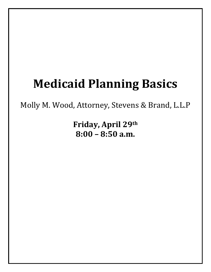# **Medicaid Planning Basics**

Molly M. Wood, Attorney, Stevens & Brand, L.L.P

**Friday, April 29th 8:00 – 8:50 a.m.**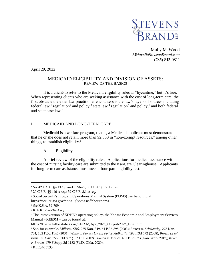

Molly M. Wood *MWood@StevensBrand.com* (785) 843-0811

April 29, 2022

## MEDICAID ELIGIBILITY AND DIVISION OF ASSETS: REVIEW OF THE BASICS

It is a cliché to refer to the Medicaid eligibility rules as "byzantine," but it's true. When representing clients who are seeking assistance with the cost of long-term care, the first obstacle the elder law practitioner encounters is the law's layers of sources including federal law,<sup>1</sup> regulation<sup>2</sup> and policy,<sup>3</sup> state law,<sup>4</sup> regulation<sup>5</sup> and policy,<sup>6</sup> and both federal and state case law.<sup>7</sup>

## I. MEDICAID AND LONG-TERM CARE

Medicaid is a welfare program, that is, a Medicaid applicant must demonstrate that he or she does not retain more than \$2,000 in "non-exempt resources," among other things, to establish eligibility.<sup>8</sup>

## A. Eligibility

A brief review of the eligibility rules: Applications for medical assistance with the cost of nursing facility care are submitted to the KanCare Clearinghouse. Applicants for long-term care assistance must meet a four-part eligibility test.

<sup>1</sup> *See* 42 U.S.C. §§ 1396p and 1396r-5; 38 U.S.C. §1501 *et seq*.

<sup>2</sup> 20 C.F.R. §§ 416 *et seq*.; 39 C.F.R. 3.1 *et seq.*

<sup>&</sup>lt;sup>3</sup> Social Security's Program Operations Manual System (POMS) can be found at: https://secure.ssa.gov/apps10/poms.nsf/aboutpoms.

<sup>4</sup> *See* K.S.A. 39-709.

<sup>5</sup> K.A.R 129-6-34 *et seq.*

<sup>6</sup> The latest version of KDHE's operating policy, the Kansas Economic and Employment Services Manual – KEESM – can be found at:

https://khap2.kdhe.state.ks.us/KEESM/Apr\_2022\_Output/2022\_Final.htm

<sup>7</sup> See, for example, *Miller v. SRS,* 275 Kan. 349, 64 P.3d 395 (2003); *Brewer v. Schalansky,* 278 Kan. 734, 102 P.3d 1145 (2004); *White v. Kansas Health Policy Authority*, 198 P.3d 172 (2008); *Brown ex rel. Brown v. Day*, 555 F.3d 882 (10th Cir. 2009); *Hutson v. Mosier,* 401 P.3d 673 (Kan. App. 2017); *Baker v. Brown,* 479 F.Supp.3d 1182 (W.D. Okla. 2020).

<sup>8</sup> KEESM 5130.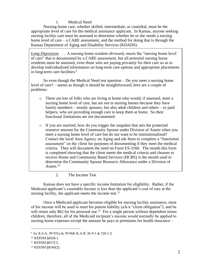# 1. Medical Need

Nursing home care, whether skilled, intermediate, or custodial, must be the appropriate level of care for the medical assistance applicant. In Kansas, anyone seeking nursing facility care must be assessed to determine whether he or she needs a nursing home level of care – a CARE assessment, and the method for doing that is through the Kansas Department of Aging and Disability Services (KDADS).

*Long Digression* . . . A nursing home resident obviously meets the "nursing home level" of care" that is documented by a CARE assessment, but all potential nursing home residents must be assessed, even those who are paying privately for their care so as to develop individualized information on long-term care options and appropriate placements in long-term care facilities.<sup>9</sup>

So even though the Medical Need test question – Do you meet a nursing home level of care? – seems as though it should be straightforward, here are a couple of problems:

- o There are lots of folks who are living at home who would, if assessed, meet a nursing home level of care, but are not in nursing homes because they have family members – mostly spouses, but also adult children and others – or paid helpers, who are providing enough care to keep them at home. So their functional limitations are not documented.
- o If you are married, how do you trigger the snapshot that sets the protected resource amount for the Community Spouse under Division of Assets when you meet a nursing home level of care but do not want to be institutionalized? Contact the local Area Agency on Aging and ask them to complete a "functional assessment" on the client for purposes of documenting if they meet the medical criteria. They will document the need on Form ES-3160. The month this form is completed showing that the client meets the medical criteria and chooses to receive Home and Community Based Services (HCBS) is the month used to determine the Community Spouse Resource Allowance under a Division of Assets. $10$ 
	- 2. The Income Test

Kansas does not have a specific income limitation for eligibility. Rather, if the Medicaid applicant's countable income is less than the applicant's cost of care at the nursing facility, the applicant meets the income test.<sup>11</sup>

Once a Medicaid applicant becomes eligible for nursing facility assistance, most of his income will be used to meet his patient liability (a/k/a "client obligation"), and he will retain only \$62 for his personal use.<sup>12</sup> For a single person without dependent minor children, therefore, all of the Medicaid recipient's income would normally be applied to nursing home expenses except the amount he pays in premiums for health insurance –

<sup>9</sup> *See* K.S.A. 39-931a & 39-968; K.A.R. 26-9-1 & 120-1-2.

<sup>10</sup> KEESM §8244.1.

<sup>11</sup> KEESM §8172.2.

<sup>12</sup> KEESM §8160(2).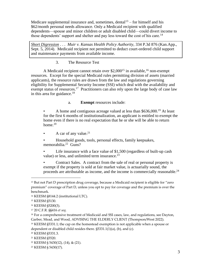Medicare supplemental insurance and, sometimes, dental $1<sup>3</sup>$  – for himself and his \$62/month personal needs allowance. Only a Medicaid recipient with qualified dependents—spouse and minor children or adult disabled child—could divert income to those dependents' support and shelter and pay less toward the cost of his care.<sup>14</sup>

*Short Digression* . . . *Muir v. Kansas Health Policy Authority*, 334 P.3d 876 (Kan.App., Sept. 5, 2014). Medicaid recipient not permitted to deduct court-ordered child support and maintenance payments from available income.

3. The Resource Test

A Medicaid recipient cannot retain over  $$2,000<sup>15</sup>$  in available,<sup>16</sup> non-exempt resources. Except for the special Medicaid rules permitting division of assets (married applicants), the resource rules are drawn from the law and regulations governing eligibility for Supplemental Security Income (SSI) which deal with the availability and exempt status of resources.<sup>17</sup> Practitioners can also rely upon the large body of case law in this area for guidance.<sup>18</sup>

a. **Exempt** resources include:

• A home and contiguous acreage valued at less than \$636,000.<sup>19</sup> At least for the first 6 months of institutionalization, an applicant is entitled to exempt the home even if there is no real expectation that he or she will be able to return home.<sup>20</sup>

• A car of any value.<sup>21</sup>

• Household goods, tools, personal effects, family keepsakes, memorabilia.<sup>22</sup> Guns?

Life insurance with a face value of \$1,500 (regardless of built-up cash value) or less, and unlimited term insurance.<sup>23</sup>

• Contract Sales. A contract from the sale of real or personal property is exempt if the property is sold at fair market value, is actuarially sound, the proceeds are attributable as income, and the income is commercially reasonable.<sup>24</sup>

<sup>&</sup>lt;sup>13</sup> But not Part D prescription drug coverage, because a Medicaid recipient is eligible for "zero premium" coverage of Part D, unless you opt to pay for coverage and the premium is over the benchmark.

<sup>14</sup> KEESM §8144.2 (institutional LTC).

<sup>15</sup> KEESM §5130.

<sup>16</sup> KEESM §5200(3).

<sup>17</sup> 20 C.F.R. §§416 *et seq*.

<sup>&</sup>lt;sup>18</sup> For a comprehensive treatment of Medicaid and SSI cases, law, and regulations, see Dayton, Garber, Mead, and Wood, ADVISING THE ELDERLY CLIENT (Thompson/West 2022).

<sup>19</sup> KEESM §5331.1; the cap on the homestead exemption is not applicable when a spouse or dependent or disabled child resides there. §5331.1(1)(a), (b), and (c).

<sup>20</sup> KEESM §5331.3.

<sup>21</sup> KEESM §5520.

<sup>22</sup> KEESM § 5430(12), (14), & (21).

<sup>23</sup> KEESM § 5430(17).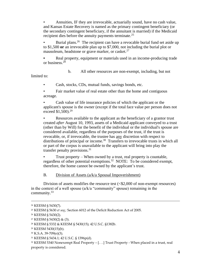• Annuities, IF they are irrevocable, actuarially sound, have no cash value, and Kansas Estate Recovery is named as the primary contingent beneficiary (or the secondary contingent beneficiary, if the annuitant is married) if the Medicaid recipient dies before the annuity payments terminate.<sup>25</sup>

• Burial plans.<sup>26</sup> The recipient can have a revocable burial fund set aside up to \$1,500 **or** an irrevocable plan up to \$7,000, not including the burial plot or mausoleum, headstone or grave marker, or casket.<sup>27</sup>

**•** Real property, equipment or materials used in an income-producing trade or business.<sup>28</sup>

b. All other resources are non-exempt, including, but not

limited to:

• Cash, stocks, CDs, mutual funds, savings bonds, etc.

• Fair market value of real estate other than the home and contiguous acreage.

• Cash value of life insurance policies of which the applicant or the applicant's spouse is the owner (except if the total face value per person does not exceed  $$1,500$ .<sup>29</sup>

• Resources available to the applicant as the beneficiary of a grantor trust created *after* August 10, 1993, assets of a Medicaid applicant conveyed to a trust (other than by Will) for the benefit of the individual or the individual's spouse are considered available, regardless of the purposes of the trust, if the trust is revocable, or, if irrevocable, the trustee has any discretion with respect to distributions of principal or income.<sup>30</sup> Transfers to irrevocable trusts in which all or part of the corpus is unavailable to the applicant will bring into play the transfer penalty provisions.<sup>31</sup>

• Trust property – When owned by a trust, real property is countable, regardless of other potential exemptions.<sup>32</sup> NOTE: To be considered exempt, therefore, the home cannot be owned by the applicant's trust.

B. Division of Assets (a/k/a Spousal Impoverishment)

Division of assets modifies the resource test (<\$2,000 of non-exempt resources) in the context of a well spouse (a/k/a "community" spouse) remaining in the community.<sup>33</sup>

<sup>24</sup> KEESM § 5430(7).

<sup>25</sup> KEESM § 5630 *et seq.;* Section 6012 of the Deficit Reduction Act of 2005.

<sup>26</sup> KEESM § 5430(2).

<sup>27</sup> KEESM § 5430(2) & (3).

<sup>28</sup> KEESM § 5332 & KEESM § 5430(15); 42 U.S.C. §1382b.

<sup>29</sup> KEESM 5430(15)(b).

<sup>30</sup> K.S.A. 39-709(e)(3).

<sup>31</sup> KEESM § 5434.1; 42 U.S.C. § 1396p(d).

<sup>32</sup> KEESM 5340 Nonexempt Real Property – [. . .] Trust Property - When placed in a trust, real property is considered.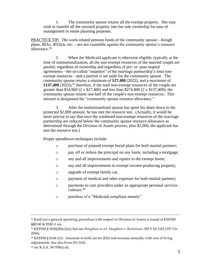1. The community spouse retains all the exempt property. She may wish to transfer all the retained property into her sole ownership for ease of management or estate planning purposes.

PRACTICE TIP: The work-related pension funds of the community spouse—Keogh plans, IRAs, 401(k)s, etc.—are not countable against the community spouse's resource allowance.<sup>34</sup>

2. When the Medicaid applicant is otherwise eligible, typically at the time of institutionalization, all the non-exempt resources of the married couple are pooled, regardless of ownership and regardless of pre- or -post-nuptial agreements—the so-called "snapshot" of the marriage partnership's total nonexempt resources—and a portion is set aside for the community spouse. The community spouse retains a minimum of \$**27,480** (2022), and a maximum of \$137,400 (2022);<sup>35</sup> therefore, if the total non-exempt resources of the couple are greater than \$54,960 (2 x \$27,480) and less than \$274,800 (2 x \$137,400), the community spouse retains one-half of the couple's non-exempt resources. This amount is designated the "community spouse resource allowance."

3. After the institutionalized spouse has spent his share down to the protected \$2,000 amount, he has met the resource test. (Actually, it would be more precise to say that once the combined non-exempt resources of the marriage partnership are reduced below the community spouse resource allowance as determined through the Division of Assets process, plus \$2,000, the applicant has met the resource test.)

Proper spenddown techniques include:

- o purchase of prepaid exempt burial plans for both marital partners;
- o pay off or reduce the principal on any loans, including a mortgage;
- o any and all improvements and repairs to the exempt home;
- o any and all improvements to exempt income-producing property;
- o upgrade of exempt family car;
- o payment of medical and other expenses for both marital partners;
- o payments to care providers under an appropriate personal services contract.<sup>36</sup>
- o purchase of a "Medicaid compliant annuity"

<sup>&</sup>lt;sup>33</sup> KanCare's general operating procedure with respect to Division of Assets is found at KEESM §§8140 & 8240 *et seq.*

<sup>&</sup>lt;sup>34</sup> KEESM § 5430(20)(c)(iii); but see *Houghton ex rel. Houghton v. Reinertson*, 382 F.3d 1162 (10<sup>th</sup> Cir. 2004).

<sup>35</sup> KEESM § 8144.1(1). Amounts in bold are for 2022 and increase annually with cost of living adjustments. See also Form ES-3162.

<sup>36</sup> *See* K.S.A. 39-709(e) (4).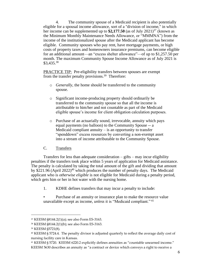4. The community spouse of a Medicaid recipient is also potentially eligible for a spousal income allowance, sort of a "division of income," in which her income can be supplemented up to \$2,177.50 (as of July 2021)<sup>37</sup> (known as the Minimum Monthly Maintenance Needs Allowance, or "MMMNA") from the income of the institutionalized spouse after the Medicaid applicant has become eligible. Community spouses who pay rent, have mortgage payments, or high costs of property taxes and homeowners insurance premiums, can become eligible for an additional amount—an "excess shelter allowance"—of up to \$1,257.50 per month. The maximum Community Spouse Income Allowance as of July 2021 is \$3,435. 38

PRACTICE TIP: Pre-eligibility transfers between spouses are exempt from the transfer penalty provisions.<sup>39</sup> Therefore:

- o *Generally*, the home should be transferred to the community spouse.
- o Significant income-producing property should ordinarily be transferred to the community spouse so that all the income is attributable to him/her and not countable as part of the Medicaid eligible spouse's income for client obligation calculation purposes.
- o Purchase of an actuarially sound, irrevocable, annuity which pays equal payments (no balloon) to the Community Spouse -- a Medicaid compliant annuity  $-$  is an opportunity to transfer "spenddown" excess resources by converting a non-exempt asset into a stream of income attributable to the Community Spouse.

# C. Transfers

Transfers for less than adequate consideration – gifts – may incur eligibility penalties if the transfers took place within 5 years of application for Medicaid assistance. The penalty is calculated by taking the total amount of the gift and dividing that amount by \$221.96 (April 2022)<sup>40</sup> which produces the number of penalty days. The Medicaid applicant who is *otherwise eligible* is not eligible for Medicaid during a penalty period, which gets him or her in hot water with the nursing home.

- 1. KDHE defines transfers that may incur a penalty to include:
- Purchase of an annuity or insurance plan to make the resource value unavailable except as income, *unless* it is "Medicaid compliant." <sup>41</sup>

<sup>37</sup> KEESM §8144.2(1)(a); see also Form ES-3163.

<sup>38</sup> KEESM §8144.2(1)(b); see also Form ES-3163.

<sup>39</sup> KEESM §5721(8).

<sup>40</sup> KEESM § 5724.4. The penalty divisor is adjusted quarterly to reflect the average daily cost of nursing facility care in Kansas.

<sup>41</sup> KEESM § 5720. KEESM 6220.2 explicitly defines annuities as "countable unearned income." KEESM 5630 describes an annuity as "a contract or device which conveys a right to receive a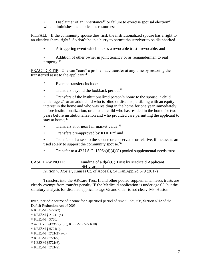Disclaimer of an inheritance<sup>42</sup> or failure to exercise spousal election<sup>43</sup> which diminishes the applicant's resources;

PITFALL: If the community spouse dies first, the institutionalized spouse has a right to an elective share, right? So don't be in a hurry to permit the survivor to be disinherited.

• A triggering event which makes a revocable trust irrevocable; and

Addition of other owner in joint tenancy or as remainderman to real property.<sup>44</sup>

PRACTICE TIP: One can "cure" a problematic transfer at any time by restoring the transferred asset to the applicant.<sup>45</sup>

- 2. Exempt transfers include:
- Transfers beyond the lookback period;<sup>46</sup>

• Transfers of the institutionalized person's home to the spouse, a child under age 21 or an adult child who is blind or disabled, a sibling with an equity interest in the home and who was residing in the home for one year immediately before institutionalization, or an adult child who has resided in the home for two years before institutionalization and who provided care permitting the applicant to stay at home; $47$ 

- Transfers at or near fair market value;<sup>48</sup>
- Transfers pre-approved by KDHE;<sup>49</sup> and
- Transfers of assets to the spouse or conservator or relative, if the assets are used solely to support the community spouse.<sup>50</sup>
- Transfer to a 42 U.S.C. 1396p(d)(4)(C) pooled supplemental needs trust.

| <b>CASE LAW NOTE:</b> | Funding of a $d(4)(C)$ Trust by Medicaid Applicant                       |
|-----------------------|--------------------------------------------------------------------------|
|                       | $>64$ -vears-old                                                         |
|                       | <i>Hutson v. Mosier, Kansas Ct. of Appeals, 54 Kan.App.2d 679 (2017)</i> |

Transfers into the ARCare Trust II and other pooled supplemental needs trusts are clearly exempt from transfer penalty IF the Medicaid application is under age 65, but the statutory analysis for disabled applicants age 65 and older is not clear. Ms. Huston

- <sup>47</sup> KEESM §5721(2)(a-d).
- <sup>48</sup> KEESM §5721(9).
- <sup>49</sup> KEESM §5721(6).
- <sup>50</sup> KEESM §5721(8).

fixed, periodic source of income for a specified period of time." *See, also*, Section 6012 of the Deficit Reduction Act of 2005.

<sup>42</sup> KEESM § 5722(3).

<sup>43</sup> KEESM § 2124.1(4).

<sup>44</sup> KEESM § 5720.

<sup>45</sup> 42 U.S.C §1396p(2)(C); KEESM § 5721(10).

<sup>46</sup> KEESM § 5721(1).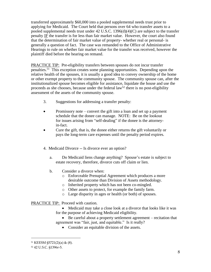transferred approximately \$60,000 into a pooled supplemental needs trust prior to applying for Medicaid. The Court held that persons over 64 who transfer assets to a pooled supplemental needs trust under 42 U.S.C. 1396(d)(4)(C) are subject to the transfer penalty IF the transfer is for less than fair market value. However, the court also found that the determination of fair market value of property- whether real or personal- is generally a question of fact. The case was remanded to the Office of Administrative Hearings to rule on whether fair market value for the transfer was received, however the plaintiff died before the hearing on remand.

PRACTICE TIP: Pre-eligibility transfers between spouses do not incur transfer penalties.<sup>51</sup> This exception creates some planning opportunities. Depending upon the relative health of the spouses, it is usually a good idea to convey ownership of the home or other exempt property to the community spouse. The community spouse can, after the institutionalized spouse becomes eligible for assistance, liquidate the house and use the proceeds as she chooses, because under the federal  $law<sup>52</sup>$  there is no post-eligibility assessment of the assets of the community spouse.

- 3. Suggestions for addressing a transfer penalty:
- Promissory note convert the gift into a loan and set up a payment schedule that the donee can manage. NOTE: Be on the lookout for issues arising from "self-dealing" if the donee is the attorneyin-fact.
- Cure the gift, that is, the donee either returns the gift voluntarily or pays the long-term care expenses until the penalty period expires.
- 4. Medicaid Divorce -- Is divorce ever an option?
	- a. Do Medicaid liens change anything? Spouse's estate is subject to estate recovery, therefore, divorce cuts off claim or lien.
	- b. Consider a divorce when:
		- o Enforceable Prenuptial Agreement which produces a more desirable outcome than Division of Assets methodology.
		- o Inherited property which has not been co-mingled.
		- o Other assets to protect, for example the family farm.
		- o Large disparity in ages or health (or both) of spouses.

## PRACTICE TIP: Proceed with caution.

- Medicaid may take a close look at a divorce that looks like it was for the purpose of achieving Medicaid eligibility.
- Be careful about a property settlement agreement recitation that agreement was "fair, just, and equitable." Is it really?
	- Consider an equitable division of the assets.

<sup>51</sup> KEESM §5721(2)(a) & (8).

<sup>52</sup> 42 U.S.C. §1396r-5.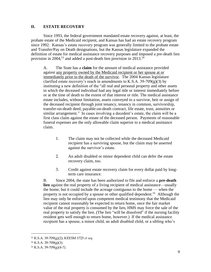## **II. ESTATE RECOVERY**

Since 1993, the federal government mandated estate recovery against, at least, the probate estate of the Medicaid recipient, and Kansas has had an estate recovery program since 1992. Kansas's estate recovery program was generally limited to the probate estate and Transfer/Pay on Death designations, but the Kansas legislature expanded the definition of estate for medical assistance recovery purposes and imposed a pre-death lien provision in 2004,<sup>53</sup> and added a post-death lien provision in 2013.<sup>54</sup>

A. The State has a **claim** for the amount of medical assistance provided against any property owned by the Medicaid recipient or her spouse at or immediately prior to the death of the survivor. The 2004 Kansas legislature clarified estate recovery's reach in amendments to K.S.A. 39-709 $(g)(3)$  by instituting a new definition of the "all real and personal property and other assets in which the deceased individual had any legal title or interest immediately before or at the time of death to the extent of that interest or title. The medical assistance estate includes, without limitation, assets conveyed to a survivor, heir or assign of the deceased recipient through joint tenancy, tenancy in common, survivorship, transfer-on-death deed, payable-on-death contract, life estate, trust, annuities or similar arrangement." In cases involving a decedent's estate, the claim will be a first class claim against the estate of the deceased person. Payments of reasonable funeral expenses are the only allowable claim superior to a medical assistance claim.

- 1. The claim may not be collected while the deceased Medicaid recipient has a surviving spouse, but the claim may be asserted against the survivor's estate.
- 2. An adult disabled or minor dependent child can defer the estate recovery claim, too.
- 3. Credit against estate recovery claim for every dollar paid by longterm care insurance.

B. Since 2004, the state has been authorized to file and enforce a **pre-death lien** against the real property of a living recipient of medical assistance—usually the home, but it could include the acreage contiguous to the home — when the property is not occupied by a spouse or other qualified dependent.<sup>55</sup> Although the lien may only be enforced upon competent medical testimony that the Medicaid recipient cannot reasonably be expected to return home, once the fair market value of the real property is consumed by the lien, HMS may force the sale of the real property to satisfy the lien. (The lien "will be dissolved" if the nursing facility resident gets well enough to return home, however.) If the medical assistance recipient has a spouse, a minor child, an adult disabled child, or a sibling who's

<sup>53</sup> K.S.A. 39-709(g)(2); KEESM 1725 *et seq*.

<sup>54</sup> K.S.A. 39-709(g)(3).

<sup>55</sup> K.S.A. 39-709(g)(4-7).